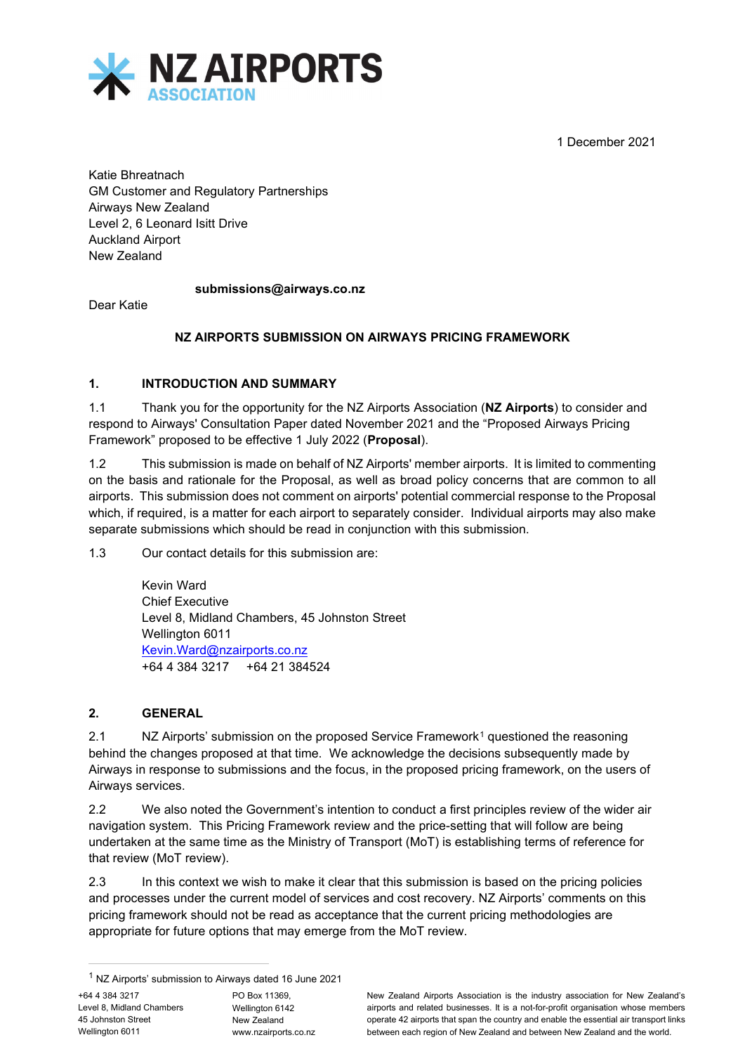1 December 2021



Katie Bhreatnach GM Customer and Regulatory Partnerships Airways New Zealand Level 2, 6 Leonard Isitt Drive Auckland Airport New Zealand

#### **submissions@airways.co.nz**

Dear Katie

#### **NZ AIRPORTS SUBMISSION ON AIRWAYS PRICING FRAMEWORK**

#### **1. INTRODUCTION AND SUMMARY**

1.1 Thank you for the opportunity for the NZ Airports Association (**NZ Airports**) to consider and respond to Airways' Consultation Paper dated November 2021 and the "Proposed Airways Pricing Framework" proposed to be effective 1 July 2022 (**Proposal**).

1.2 This submission is made on behalf of NZ Airports' member airports. It is limited to commenting on the basis and rationale for the Proposal, as well as broad policy concerns that are common to all airports. This submission does not comment on airports' potential commercial response to the Proposal which, if required, is a matter for each airport to separately consider. Individual airports may also make separate submissions which should be read in conjunction with this submission.

1.3 Our contact details for this submission are:

Kevin Ward Chief Executive Level 8, Midland Chambers, 45 Johnston Street Wellington 6011 [Kevin.Ward@nzairports.co.nz](mailto:Kevin.Ward@nzairports.co.nz) +64 4 384 3217 +64 21 384524

#### **2. GENERAL**

2.[1](#page-0-0) NZ Airports' submission on the proposed Service Framework<sup>1</sup> questioned the reasoning behind the changes proposed at that time. We acknowledge the decisions subsequently made by Airways in response to submissions and the focus, in the proposed pricing framework, on the users of Airways services.

2.2 We also noted the Government's intention to conduct a first principles review of the wider air navigation system. This Pricing Framework review and the price-setting that will follow are being undertaken at the same time as the Ministry of Transport (MoT) is establishing terms of reference for that review (MoT review).

2.3 In this context we wish to make it clear that this submission is based on the pricing policies and processes under the current model of services and cost recovery. NZ Airports' comments on this pricing framework should not be read as acceptance that the current pricing methodologies are appropriate for future options that may emerge from the MoT review.

PO Box 11369, Wellington 6142 New Zealand www.nzairports.co.nz New Zealand Airports Association is the industry association for New Zealand's airports and related businesses. It is a not-for-profit organisation whose members operate 42 airports that span the country and enable the essential air transport links between each region of New Zealand and between New Zealand and the world.

<span id="page-0-0"></span><sup>1</sup> NZ Airports' submission to Airways dated 16 June 2021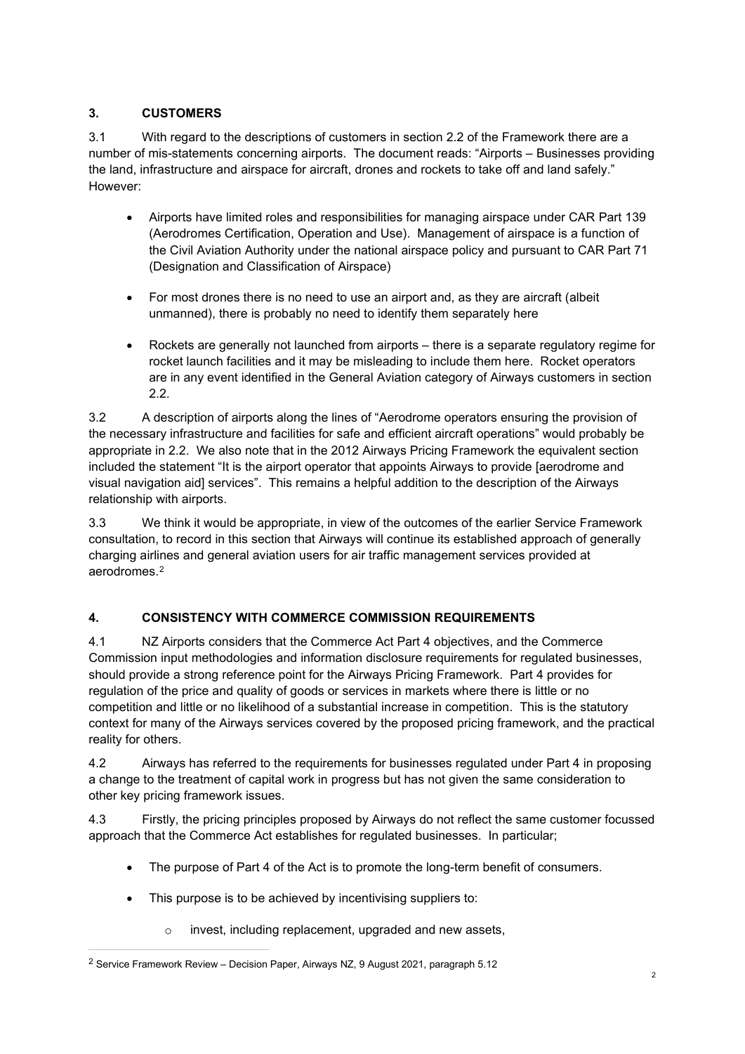## **3. CUSTOMERS**

3.1 With regard to the descriptions of customers in section 2.2 of the Framework there are a number of mis-statements concerning airports. The document reads: "Airports – Businesses providing the land, infrastructure and airspace for aircraft, drones and rockets to take off and land safely." However:

- Airports have limited roles and responsibilities for managing airspace under CAR Part 139 (Aerodromes Certification, Operation and Use). Management of airspace is a function of the Civil Aviation Authority under the national airspace policy and pursuant to CAR Part 71 (Designation and Classification of Airspace)
- For most drones there is no need to use an airport and, as they are aircraft (albeit unmanned), there is probably no need to identify them separately here
- Rockets are generally not launched from airports there is a separate regulatory regime for rocket launch facilities and it may be misleading to include them here. Rocket operators are in any event identified in the General Aviation category of Airways customers in section 2.2.

3.2 A description of airports along the lines of "Aerodrome operators ensuring the provision of the necessary infrastructure and facilities for safe and efficient aircraft operations" would probably be appropriate in 2.2. We also note that in the 2012 Airways Pricing Framework the equivalent section included the statement "It is the airport operator that appoints Airways to provide [aerodrome and visual navigation aid] services". This remains a helpful addition to the description of the Airways relationship with airports.

3.3 We think it would be appropriate, in view of the outcomes of the earlier Service Framework consultation, to record in this section that Airways will continue its established approach of generally charging airlines and general aviation users for air traffic management services provided at aerodromes.[2](#page-1-0)

## **4. CONSISTENCY WITH COMMERCE COMMISSION REQUIREMENTS**

4.1 NZ Airports considers that the Commerce Act Part 4 objectives, and the Commerce Commission input methodologies and information disclosure requirements for regulated businesses, should provide a strong reference point for the Airways Pricing Framework. Part 4 provides for regulation of the price and quality of goods or services in markets where there is little or no competition and little or no likelihood of a substantial increase in competition. This is the statutory context for many of the Airways services covered by the proposed pricing framework, and the practical reality for others.

4.2 Airways has referred to the requirements for businesses regulated under Part 4 in proposing a change to the treatment of capital work in progress but has not given the same consideration to other key pricing framework issues.

4.3 Firstly, the pricing principles proposed by Airways do not reflect the same customer focussed approach that the Commerce Act establishes for regulated businesses. In particular;

- The purpose of Part 4 of the Act is to promote the long-term benefit of consumers.
- This purpose is to be achieved by incentivising suppliers to:
	- o invest, including replacement, upgraded and new assets,

<span id="page-1-0"></span><sup>2</sup> Service Framework Review – Decision Paper, Airways NZ, 9 August 2021, paragraph 5.12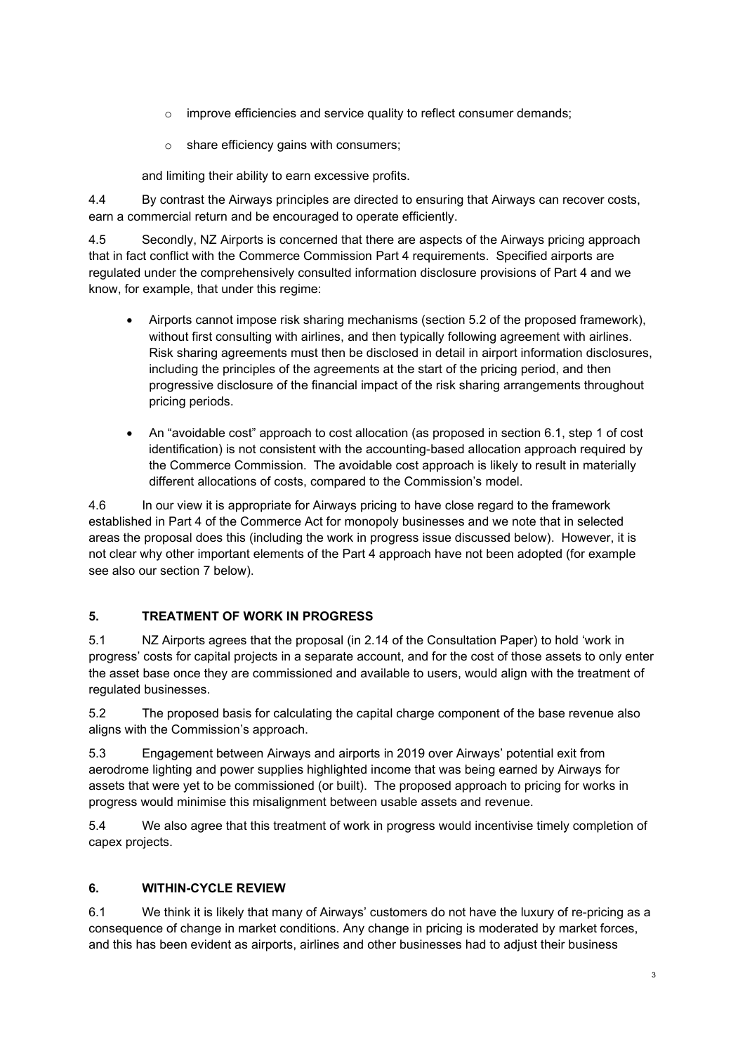- o improve efficiencies and service quality to reflect consumer demands;
- $\circ$  share efficiency gains with consumers;

and limiting their ability to earn excessive profits.

4.4 By contrast the Airways principles are directed to ensuring that Airways can recover costs, earn a commercial return and be encouraged to operate efficiently.

4.5 Secondly, NZ Airports is concerned that there are aspects of the Airways pricing approach that in fact conflict with the Commerce Commission Part 4 requirements. Specified airports are regulated under the comprehensively consulted information disclosure provisions of Part 4 and we know, for example, that under this regime:

- Airports cannot impose risk sharing mechanisms (section 5.2 of the proposed framework), without first consulting with airlines, and then typically following agreement with airlines. Risk sharing agreements must then be disclosed in detail in airport information disclosures, including the principles of the agreements at the start of the pricing period, and then progressive disclosure of the financial impact of the risk sharing arrangements throughout pricing periods.
- An "avoidable cost" approach to cost allocation (as proposed in section 6.1, step 1 of cost identification) is not consistent with the accounting-based allocation approach required by the Commerce Commission. The avoidable cost approach is likely to result in materially different allocations of costs, compared to the Commission's model.

4.6 In our view it is appropriate for Airways pricing to have close regard to the framework established in Part 4 of the Commerce Act for monopoly businesses and we note that in selected areas the proposal does this (including the work in progress issue discussed below). However, it is not clear why other important elements of the Part 4 approach have not been adopted (for example see also our section 7 below).

## **5. TREATMENT OF WORK IN PROGRESS**

5.1 NZ Airports agrees that the proposal (in 2.14 of the Consultation Paper) to hold 'work in progress' costs for capital projects in a separate account, and for the cost of those assets to only enter the asset base once they are commissioned and available to users, would align with the treatment of regulated businesses.

5.2 The proposed basis for calculating the capital charge component of the base revenue also aligns with the Commission's approach.

5.3 Engagement between Airways and airports in 2019 over Airways' potential exit from aerodrome lighting and power supplies highlighted income that was being earned by Airways for assets that were yet to be commissioned (or built). The proposed approach to pricing for works in progress would minimise this misalignment between usable assets and revenue.

5.4 We also agree that this treatment of work in progress would incentivise timely completion of capex projects.

## **6. WITHIN-CYCLE REVIEW**

6.1 We think it is likely that many of Airways' customers do not have the luxury of re-pricing as a consequence of change in market conditions. Any change in pricing is moderated by market forces, and this has been evident as airports, airlines and other businesses had to adjust their business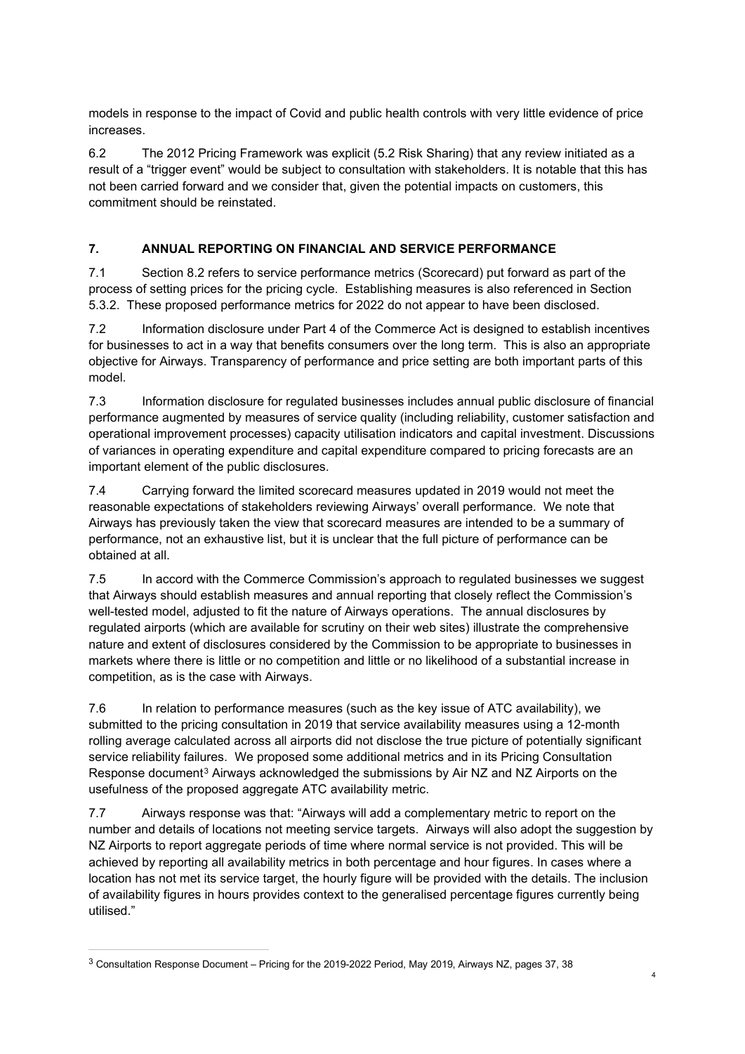models in response to the impact of Covid and public health controls with very little evidence of price increases.

6.2 The 2012 Pricing Framework was explicit (5.2 Risk Sharing) that any review initiated as a result of a "trigger event" would be subject to consultation with stakeholders. It is notable that this has not been carried forward and we consider that, given the potential impacts on customers, this commitment should be reinstated.

# **7. ANNUAL REPORTING ON FINANCIAL AND SERVICE PERFORMANCE**

7.1 Section 8.2 refers to service performance metrics (Scorecard) put forward as part of the process of setting prices for the pricing cycle. Establishing measures is also referenced in Section 5.3.2. These proposed performance metrics for 2022 do not appear to have been disclosed.

7.2 Information disclosure under Part 4 of the Commerce Act is designed to establish incentives for businesses to act in a way that benefits consumers over the long term. This is also an appropriate objective for Airways. Transparency of performance and price setting are both important parts of this model.

7.3 Information disclosure for regulated businesses includes annual public disclosure of financial performance augmented by measures of service quality (including reliability, customer satisfaction and operational improvement processes) capacity utilisation indicators and capital investment. Discussions of variances in operating expenditure and capital expenditure compared to pricing forecasts are an important element of the public disclosures.

7.4 Carrying forward the limited scorecard measures updated in 2019 would not meet the reasonable expectations of stakeholders reviewing Airways' overall performance. We note that Airways has previously taken the view that scorecard measures are intended to be a summary of performance, not an exhaustive list, but it is unclear that the full picture of performance can be obtained at all.

7.5 In accord with the Commerce Commission's approach to regulated businesses we suggest that Airways should establish measures and annual reporting that closely reflect the Commission's well-tested model, adjusted to fit the nature of Airways operations. The annual disclosures by regulated airports (which are available for scrutiny on their web sites) illustrate the comprehensive nature and extent of disclosures considered by the Commission to be appropriate to businesses in markets where there is little or no competition and little or no likelihood of a substantial increase in competition, as is the case with Airways.

7.6 In relation to performance measures (such as the key issue of ATC availability), we submitted to the pricing consultation in 2019 that service availability measures using a 12-month rolling average calculated across all airports did not disclose the true picture of potentially significant service reliability failures. We proposed some additional metrics and in its Pricing Consultation Response document<sup>[3](#page-3-0)</sup> Airways acknowledged the submissions by Air NZ and NZ Airports on the usefulness of the proposed aggregate ATC availability metric.

7.7 Airways response was that: "Airways will add a complementary metric to report on the number and details of locations not meeting service targets. Airways will also adopt the suggestion by NZ Airports to report aggregate periods of time where normal service is not provided. This will be achieved by reporting all availability metrics in both percentage and hour figures. In cases where a location has not met its service target, the hourly figure will be provided with the details. The inclusion of availability figures in hours provides context to the generalised percentage figures currently being utilised."

<span id="page-3-0"></span><sup>3</sup> Consultation Response Document – Pricing for the 2019-2022 Period, May 2019, Airways NZ, pages 37, 38